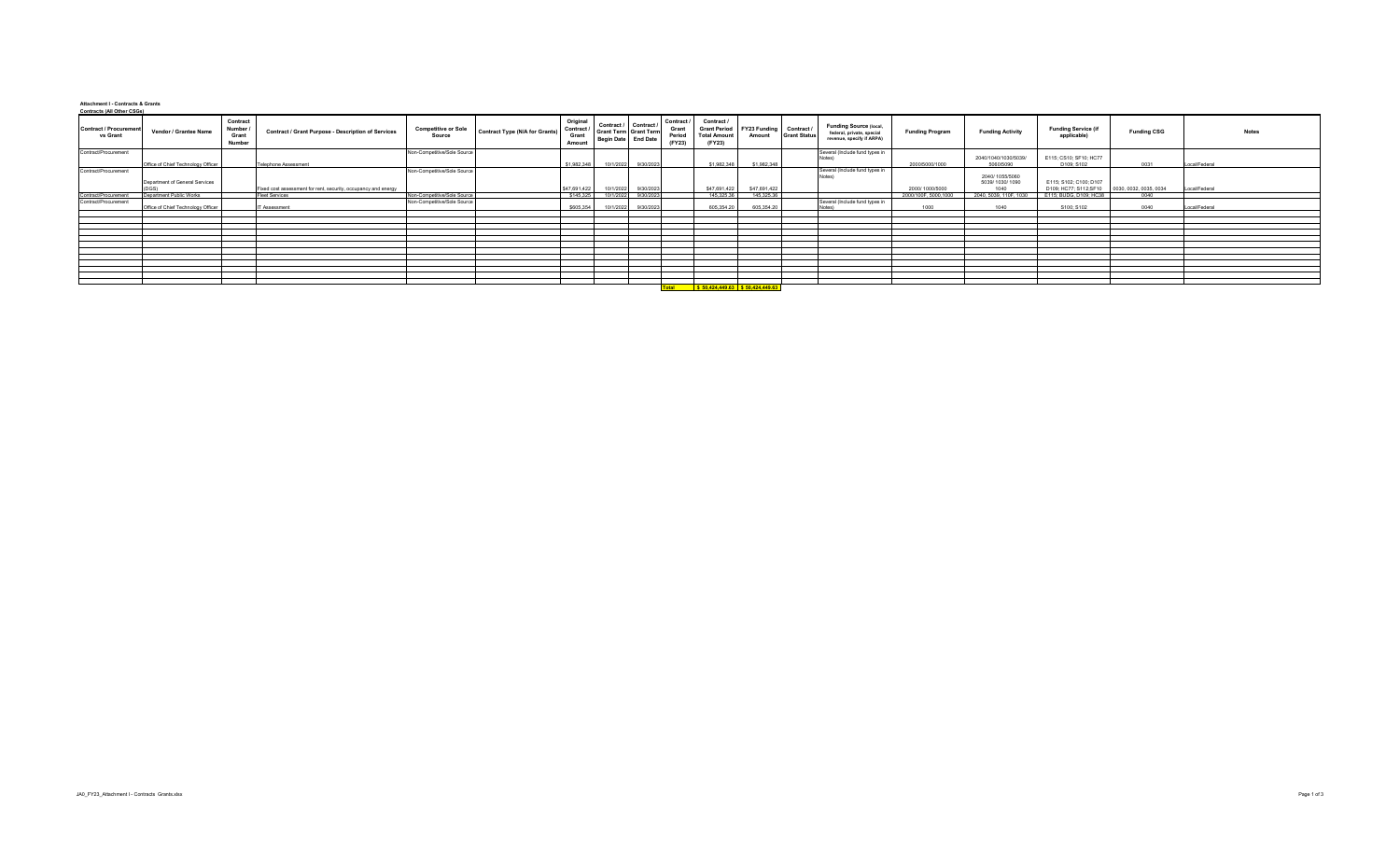## **Attachment I - Contracts & Grants**

| <b>Contracts (All Other CSGs)</b>         |                                    |                                       |                                                                |                                      |                                       |                                           |            |                                                                   |                                         |                                                                    |                        |                                   |                                                                                  |                        |                                           |                                                                        |                    |               |              |
|-------------------------------------------|------------------------------------|---------------------------------------|----------------------------------------------------------------|--------------------------------------|---------------------------------------|-------------------------------------------|------------|-------------------------------------------------------------------|-----------------------------------------|--------------------------------------------------------------------|------------------------|-----------------------------------|----------------------------------------------------------------------------------|------------------------|-------------------------------------------|------------------------------------------------------------------------|--------------------|---------------|--------------|
| <b>Contract / Procurement</b><br>vs Grant | Vendor / Grantee Name              | Contract<br>Number<br>Grant<br>Number | Contract / Grant Purpose - Description of Services             | <b>Competitive or Sole</b><br>Source | <b>Contract Type (N/A for Grants)</b> | Original<br>Contract /<br>Grant<br>Amount | Contract / | Contract /<br><b>Grant Term Grant Term</b><br>Begin Date End Date | Contract /<br>Grant<br>Period<br>(FY23) | Contract /<br><b>Grant Period</b><br><b>Total Amount</b><br>(FY23) | FY23 Funding<br>Amount | Contract /<br><b>Grant Status</b> | Funding Source (local,<br>federal, private, special<br>revenue, specify if ARPA) | <b>Funding Program</b> | <b>Funding Activity</b>                   | <b>Funding Service (if</b><br>applicable)                              | <b>Funding CSG</b> |               | <b>Notes</b> |
| Contract/Procurement                      | Office of Chief Technology Officer |                                       | <b>Telephone Assessment</b>                                    | Non-Competitive/Sole Source          |                                       | \$1,982,348                               | 10/1/2022  | 9/30/2023                                                         |                                         | \$1,982,348                                                        | \$1,982,348            |                                   | Several (Include fund types in<br><b>Notes</b>                                   | 2000/5000/1000         | 2040/1040/1030/5039/<br>5060/5090         | E115; CS10; SF10; HC77<br>D109; S102                                   | 0031               | Local/Federal |              |
| Contract/Procurement                      | Department of General Services     |                                       | Fixed cost assessment for rent, security, occupancy and energy | Non-Competitive/Sole Source          |                                       | \$47,691,422                              | 10/1/2022  | 9/30/2023                                                         |                                         | \$47,691,422                                                       | \$47,691,422           |                                   | Several (Include fund types in<br><b>Notes</b>                                   | 2000/1000/5000         | 2040/ 1055/5060<br>5039/1030/1090<br>1040 | E115; S102; C100; D107<br>D109; HC77; S112;SF10 0030, 0032, 0035, 0034 |                    | Local/Federal |              |
| Contract/Procurement                      | Department Public Works            |                                       | <b>Fleet Services</b>                                          | Non-Competitive/Sole Source          |                                       | \$145,325                                 | 10/1/202   | 9/30/202                                                          |                                         | 145,325.                                                           | 145,325.36             |                                   |                                                                                  | 2000/100F, 5000, 1000  | 2040, 5039, 110F, 1030                    | E115; BUDG, D109; HC38                                                 | 0040               |               |              |
| Contract/Procurement                      | Office of Chief Technology Officer |                                       | <b>IT Assessment</b>                                           | Non-Competitive/Sole Source          |                                       | \$605,354                                 | 10/1/202   | 9/30/2023                                                         |                                         | 605.354.2                                                          | 605.354.2              |                                   | Several (Include fund types in                                                   | 1000                   | 1040                                      | S100; S102                                                             | 0040               | Local/Federal |              |
|                                           |                                    |                                       |                                                                |                                      |                                       |                                           |            |                                                                   |                                         |                                                                    |                        |                                   |                                                                                  |                        |                                           |                                                                        |                    |               |              |
|                                           |                                    |                                       |                                                                |                                      |                                       |                                           |            |                                                                   |                                         |                                                                    |                        |                                   |                                                                                  |                        |                                           |                                                                        |                    |               |              |
|                                           |                                    |                                       |                                                                |                                      |                                       |                                           |            |                                                                   |                                         |                                                                    |                        |                                   |                                                                                  |                        |                                           |                                                                        |                    |               |              |
|                                           |                                    |                                       |                                                                |                                      |                                       |                                           |            |                                                                   |                                         |                                                                    |                        |                                   |                                                                                  |                        |                                           |                                                                        |                    |               |              |
|                                           |                                    |                                       |                                                                |                                      |                                       |                                           |            |                                                                   |                                         |                                                                    |                        |                                   |                                                                                  |                        |                                           |                                                                        |                    |               |              |
|                                           |                                    |                                       |                                                                |                                      |                                       |                                           |            |                                                                   |                                         |                                                                    |                        |                                   |                                                                                  |                        |                                           |                                                                        |                    |               |              |
|                                           |                                    |                                       |                                                                |                                      |                                       |                                           |            |                                                                   |                                         |                                                                    |                        |                                   |                                                                                  |                        |                                           |                                                                        |                    |               |              |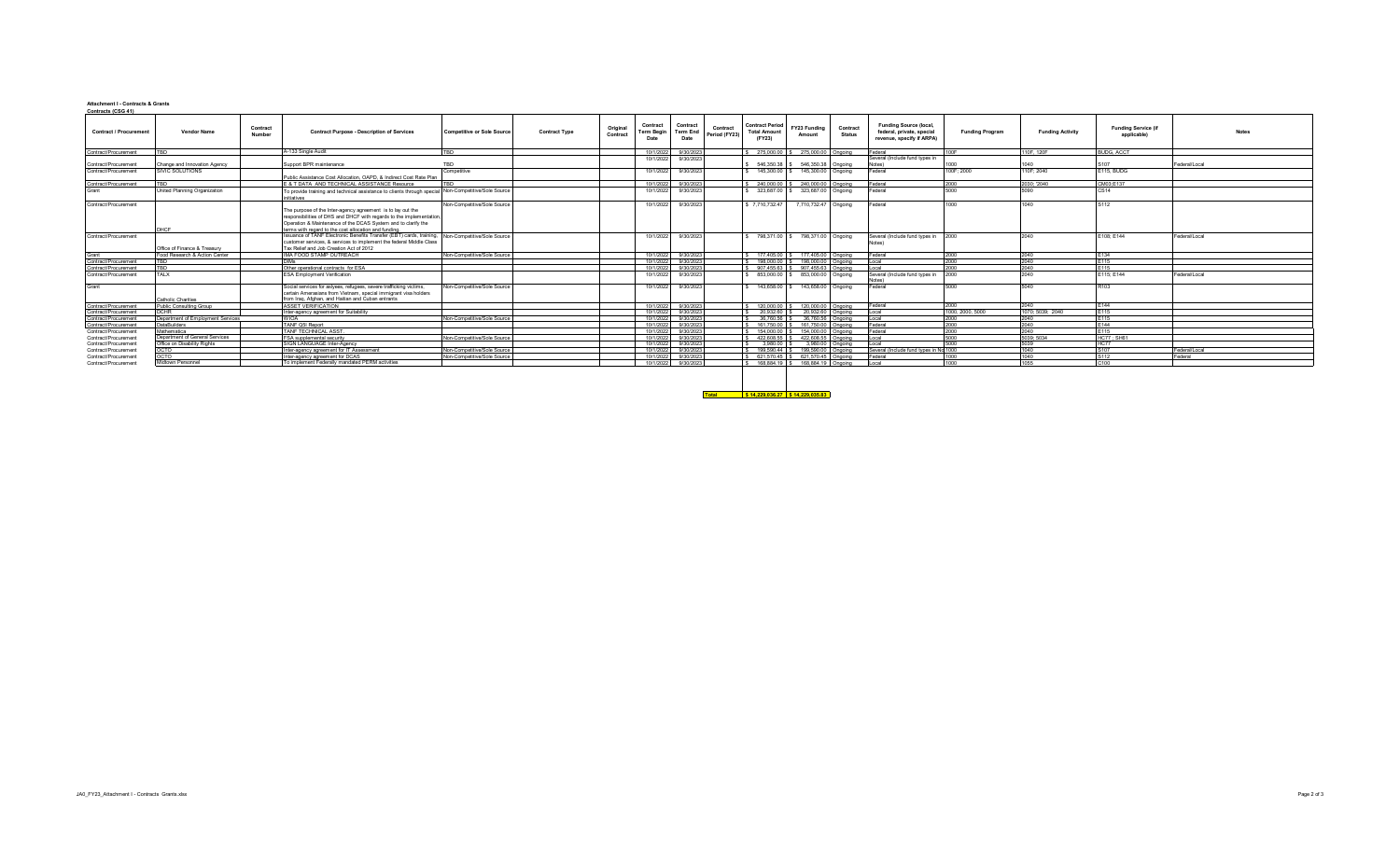| Attachment i - Contracts & Grants<br>Contracts (CSG 41) |                                   |                           |                                                                                                                                                                                                      |                                   |                      |                      |                                |                              |                           |                                                         |                                    |                           |                                                                                         |                        |                         |                                           |               |
|---------------------------------------------------------|-----------------------------------|---------------------------|------------------------------------------------------------------------------------------------------------------------------------------------------------------------------------------------------|-----------------------------------|----------------------|----------------------|--------------------------------|------------------------------|---------------------------|---------------------------------------------------------|------------------------------------|---------------------------|-----------------------------------------------------------------------------------------|------------------------|-------------------------|-------------------------------------------|---------------|
| <b>Contract / Procurement</b>                           | <b>Vendor Name</b>                | Contract<br><b>Number</b> | <b>Contract Purpose - Description of Services</b>                                                                                                                                                    | <b>Competitive or Sole Source</b> | <b>Contract Type</b> | Original<br>Contract | Contract<br>Term Begin<br>Date | Contract<br>Term End<br>Date | Contract<br>Period (FY23) | <b>Contract Period</b><br><b>Total Amount</b><br>(FY23) | FY23 Funding<br>Amount             | Contract<br><b>Status</b> | <b>Funding Source (local,</b><br>federal, private, special<br>revenue, specify if ARPA) | <b>Funding Program</b> | <b>Funding Activity</b> | <b>Funding Service (if</b><br>applicable) | <b>Notes</b>  |
| Contract/Procurement                                    |                                   |                           | A-133 Single Audit                                                                                                                                                                                   | <b>TBD</b>                        |                      |                      |                                | 10/1/2022 9/30/2023          |                           | \$ 275,000.00 \$ 275,000.00 Ongoing                     |                                    |                           | Federal                                                                                 | 100F                   | 110F. 120F              | <b>BUDG, ACCT</b>                         |               |
| Contract/Procurement                                    | Change and Innovation Agency      |                           | Support BPR maintenance                                                                                                                                                                              | TRD                               |                      |                      | 10/1/2022                      | 9/30/2023                    |                           | 546,350,38                                              | 546,350.38 Ongoing                 |                           | Several (Include fund types in<br>Notes)                                                | 1000                   | 1040                    | 3107                                      | Federal/Local |
| Contract/Procurement                                    | SIVIC SOLUTIONS                   |                           | Public Assistance Cost Allocation, OAPD, & Indirect Cost Rate Plan                                                                                                                                   | Competitive                       |                      |                      | 10/1/2022                      | 9/30/2023                    |                           | 145,300.00                                              | 145,300.00 Ongoing                 |                           | Federal                                                                                 | 100F: 2000             | 110F: 2040              | E115, BUDG                                |               |
| Contract/Procurement                                    |                                   |                           | E & T DATA AND TECHNICAL ASSISTANCE Resource                                                                                                                                                         |                                   |                      |                      |                                | 10/1/2022 9/30/2023          |                           | \$ 240,000.00 \$ 240,000.00 Ongoing                     |                                    |                           | Federal                                                                                 | 2000                   | 2030: '2040             | CM03:E137                                 |               |
| Grant                                                   | United Planning Organization      |                           | To provide training and technical assistance to clients through special Non-Competitive/Sole Source<br>initiatives                                                                                   |                                   |                      |                      | 10/1/2022                      | 9/30/2023                    |                           | \$ 323,687.00 \$ 323,687.00 Ongoing                     |                                    |                           | Federal                                                                                 | 5000                   | nona                    | CS14                                      |               |
| Contract/Procurement                                    |                                   |                           | The purpose of the Inter-agency agreement is to lay out the<br>responsibilities of DHS and DHCF with regards to the implementation.<br>Operation & Maintenance of the DCAS System and to clarify the | Non-Competitive/Sole Source       |                      |                      | 10/1/2022                      | 9/30/2023                    |                           | \$7.710.732.47                                          | 7,710,732.47 Ongoing               |                           | Federal                                                                                 | 1000                   | 1040                    | S112                                      |               |
| Contract/Procurement                                    | <b>ПРИСЕ</b>                      |                           | erms with regard to the cost allocation and funding<br>Issuance of TANF Electronic Benefits Transfer (EBT) cards, training, Non-Competitive/Sole Source                                              |                                   |                      |                      | 10/1/2022                      | 9/30/2023                    |                           |                                                         | 798.371.00 \$ 798.371.00 Ongoing   |                           | Several (Include fund types in   2000                                                   |                        | 2040                    | F108: F144                                | Federal/Local |
|                                                         | Office of Finance & Treasury      |                           | customer services. & services to implement the federal Middle Class<br>Tax Relief and Job Creation Act of 2012                                                                                       |                                   |                      |                      |                                |                              |                           |                                                         |                                    |                           |                                                                                         |                        |                         |                                           |               |
| Grant                                                   | Food Research & Action Center     |                           | IMA FOOD STAMP OUTREACH                                                                                                                                                                              | Non-Competitive/Sole Source       |                      |                      |                                | 10/1/2022 9/30/2023          |                           |                                                         | 177.405.00 \$ 177.405.00 Ongoing   |                           | Federal                                                                                 | 2000                   | 2040                    | F134                                      |               |
| Contract/Procurement                                    |                                   |                           |                                                                                                                                                                                                      |                                   |                      |                      |                                | 10/1/2022 9/30/2023          |                           | 198,000,00 \$                                           | 198,000.00 Ongoing                 |                           | Local                                                                                   | 2000                   | 2040                    | F115                                      |               |
| Contract/Procurement                                    | ron.                              |                           | Other operational contracts for ESA                                                                                                                                                                  |                                   |                      |                      |                                | 10/1/2022 9/30/2023          |                           | 90745563 \$                                             | 907.455.63 Ongoing                 |                           | <b>Local</b>                                                                            |                        | 2040                    | F115                                      |               |
| Contract/Procurement                                    | TAI X                             |                           | <b>ESA Employment Verification</b>                                                                                                                                                                   |                                   |                      |                      | 10/1/2022                      | 9/30/2023                    |                           | 853,000.00                                              | 853,000.00 Ongoing                 |                           | Several (Include fund types in<br>Nates)                                                | 2000                   | 2040                    | E115: E144                                | Federal/Local |
| Grant                                                   | Catholic Charities                |                           | Social services for aslyees, refugees, severe trafficking victims,<br>certain Amerasians from Vietnam, special immigrant visa holders<br>from Irag. Afghan, and Haitian and Cuban entrants           | Non-Competitive/Sole Source       |                      |                      |                                | 10/1/2022 9/30/2023          |                           |                                                         | 143,658.00 \$ 143,658.00 Ongoing   |                           | Federal                                                                                 | 5000                   | 5040                    | R <sub>103</sub>                          |               |
| Contract/Procurement                                    | Public Consulting Group           |                           | <b>ASSET VERIFICATION</b>                                                                                                                                                                            |                                   |                      |                      |                                | 10/1/2022 9/30/2023          |                           |                                                         | 120,000.00 \$ 120,000.00 Ongoing   |                           | Federal                                                                                 | 2000                   | 2040                    | $-144$                                    |               |
| Contract/Procurement                                    | <b>DCHR</b>                       |                           | Inter-agency agreement for Suitability                                                                                                                                                               |                                   |                      |                      |                                | 10/1/2022 9/30/2023          |                           | \$ 20.932.60 \$ 20.932.60 Ongoing                       |                                    |                           | I ocal                                                                                  | 1000 2000 5000         | 1070: 5039: 2040        | E115                                      |               |
| Contract/Procurement                                    | Department of Employment Services |                           | <b>WIOA</b>                                                                                                                                                                                          | Non-Competitive/Sole Source       |                      |                      |                                | 10/1/2022 9/30/2023          |                           | \$ 36,760.56 \$                                         | 36,760.56 Ongoing                  |                           | I ocal                                                                                  | 2000                   | 2040                    | F115                                      |               |
| Contract/Procurement                                    | DataBuilders                      |                           | TANF Q5I Report                                                                                                                                                                                      |                                   |                      |                      |                                | 10/1/2022 9/30/2023          |                           | \$161750.00 \$                                          | 161.750.00 Ongoing                 |                           | Federal                                                                                 | 2000                   | 2040                    | $-144$                                    |               |
| Contract/Procurement                                    | Mathematica                       |                           | TANF TECHNICAL ASST.                                                                                                                                                                                 |                                   |                      |                      |                                | 10/1/2022 9/30/2023          |                           |                                                         | 5 154,000.00 \$ 154,000.00 Ongoing |                           | Federal                                                                                 | 2000                   | 2040                    | $-115$                                    |               |
| Contract/Procurement                                    | Department of General Services    |                           | <b>FSA</b> supplemental security                                                                                                                                                                     | Non-Competitive/Sole Source       |                      |                      |                                | 10/1/2022 9/30/2023          |                           | 422,608.55 S                                            | 422.608.55 Ongoing                 |                           | Local                                                                                   | 5000                   | 5039: 5034              | <b>HC77: SH61</b>                         |               |
| Contract/Procurement                                    | Office on Disability Rights       |                           | SIGN LANGUAGE Inter-Agency                                                                                                                                                                           |                                   |                      |                      |                                | 10/1/2022 9/30/2023          |                           | $S = 3.980.00$ $S$                                      | 3.980.00 Ongoing                   |                           | <b>Local</b>                                                                            | 5000                   | 5039                    | <b>HC77</b>                               |               |
| Contract/Procurement                                    | ОСТО                              |                           | Inter-agency agreement for IT Assessment                                                                                                                                                             | Non-Competitive/Sole Source       |                      |                      |                                | 10/1/2022 9/30/2023          |                           | 199 590 44 \$                                           | 199,590.00 Ongoing                 |                           | Several (Include fund types in No 1000                                                  |                        | 1040                    | \$107                                     | Federal/Local |
| Contract/Procurement                                    | Іосто                             |                           | Inter-agency agreement for DCAS                                                                                                                                                                      | Non-Competitive/Sole Source       |                      |                      |                                | 10/1/2022 9/30/2023          |                           | 621.570.45                                              | 621,570.45 Ongoing                 |                           | Federal                                                                                 | 1000                   | 1040                    | S112                                      | Federal       |
| Contract/Procurement                                    | Midtown Personnel                 |                           | To implement Federally mandated PERM activities                                                                                                                                                      |                                   |                      |                      |                                | 10/1/2022 9/30/2023          |                           |                                                         | 168,884.19 \$ 168,884.19 Ongoing   |                           | ll ocal                                                                                 | 1000                   | 1055                    | 100                                       |               |

**Total \$ 14,229,036.27 \$ 14,229,035.83**